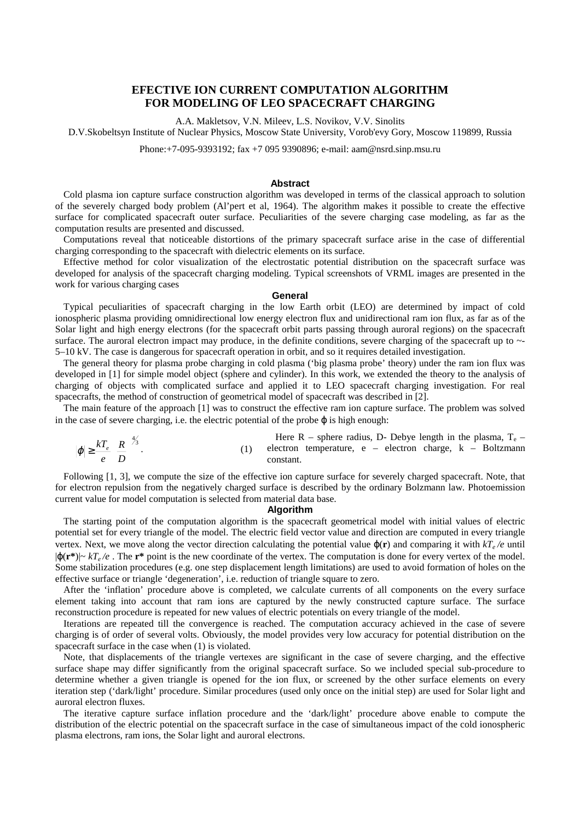# **EFECTIVE ION CURRENT COMPUTATION ALGORITHM FOR MODELING OF LEO SPACECRAFT CHARGING**

A.A. Makletsov, V.N. Mileev, L.S. Novikov, V.V. Sinolits

D.V.Skobeltsyn Institute of Nuclear Physics, Moscow State University, Vorob'evy Gory, Moscow 119899, Russia

Phone:+7-095-9393192; fax +7 095 9390896; e-mail: aam@nsrd.sinp.msu.ru

# **Abstract**

Cold plasma ion capture surface construction algorithm was developed in terms of the classical approach to solution of the severely charged body problem (Al'pert et al, 1964). The algorithm makes it possible to create the effective surface for complicated spacecraft outer surface. Peculiarities of the severe charging case modeling, as far as the computation results are presented and discussed.

Computations reveal that noticeable distortions of the primary spacecraft surface arise in the case of differential charging corresponding to the spacecraft with dielectric elements on its surface.

Effective method for color visualization of the electrostatic potential distribution on the spacecraft surface was developed for analysis of the spacecraft charging modeling. Typical screenshots of VRML images are presented in the work for various charging cases

#### **General**

Typical peculiarities of spacecraft charging in the low Earth orbit (LEO) are determined by impact of cold ionospheric plasma providing omnidirectional low energy electron flux and unidirectional ram ion flux, as far as of the Solar light and high energy electrons (for the spacecraft orbit parts passing through auroral regions) on the spacecraft surface. The auroral electron impact may produce, in the definite conditions, severe charging of the spacecraft up to  $\sim$ -5–10 kV. The case is dangerous for spacecraft operation in orbit, and so it requires detailed investigation.

The general theory for plasma probe charging in cold plasma ('big plasma probe' theory) under the ram ion flux was developed in [1] for simple model object (sphere and cylinder). In this work, we extended the theory to the analysis of charging of objects with complicated surface and applied it to LEO spacecraft charging investigation. For real spacecrafts, the method of construction of geometrical model of spacecraft was described in [2].

The main feature of the approach [1] was to construct the effective ram ion capture surface. The problem was solved in the case of severe charging, i.e. the electric potential of the probe  $\varphi$  is high enough:

Here R – sphere radius, D- Debye length in the plasma, T<sub>e</sub> –  
\n
$$
|\varphi| \ge \frac{kT_e}{e} \left(\frac{R}{D}\right)^{4/3}
$$
.  
\n(1) Here R – sphere radius, D- Debye length in the plasma, T<sub>e</sub> – electron charge, k – Boltzmann constant.

Following [1, 3], we compute the size of the effective ion capture surface for severely charged spacecraft. Note, that for electron repulsion from the negatively charged surface is described by the ordinary Bolzmann law. Photoemission current value for model computation is selected from material data base.

## **Algorithm**

The starting point of the computation algorithm is the spacecraft geometrical model with initial values of electric potential set for every triangle of the model. The electric field vector value and direction are computed in every triangle vertex. Next, we move along the vector direction calculating the potential value  $\varphi(\mathbf{r})$  and comparing it with  $kT_e/e$  until |ϕ(**r\***)|~ *kTe /e* . The **r\*** point is the new coordinate of the vertex. The computation is done for every vertex of the model. Some stabilization procedures (e.g. one step displacement length limitations) are used to avoid formation of holes on the effective surface or triangle 'degeneration', i.e. reduction of triangle square to zero.

After the 'inflation' procedure above is completed, we calculate currents of all components on the every surface element taking into account that ram ions are captured by the newly constructed capture surface. The surface reconstruction procedure is repeated for new values of electric potentials on every triangle of the model.

Iterations are repeated till the convergence is reached. The computation accuracy achieved in the case of severe charging is of order of several volts. Obviously, the model provides very low accuracy for potential distribution on the spacecraft surface in the case when (1) is violated.

Note, that displacements of the triangle vertexes are significant in the case of severe charging, and the effective surface shape may differ significantly from the original spacecraft surface. So we included special sub-procedure to determine whether a given triangle is opened for the ion flux, or screened by the other surface elements on every iteration step ('dark/light' procedure. Similar procedures (used only once on the initial step) are used for Solar light and auroral electron fluxes.

The iterative capture surface inflation procedure and the 'dark/light' procedure above enable to compute the distribution of the electric potential on the spacecraft surface in the case of simultaneous impact of the cold ionospheric plasma electrons, ram ions, the Solar light and auroral electrons.